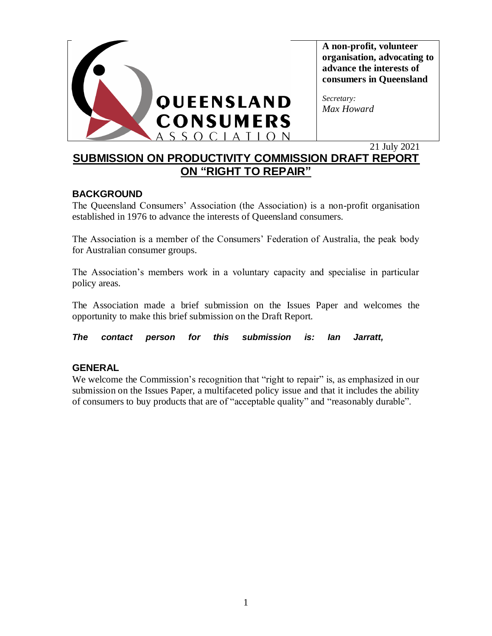

**A non-profit, volunteer organisation, advocating to advance the interests of consumers in Queensland** 

*Secretary: Max Howard* 

# 21 July 2021 **SUBMISSION ON PRODUCTIVITY COMMISSION DRAFT REPORT ON "RIGHT TO REPAIR"**

## **BACKGROUND**

The Queensland Consumers' Association (the Association) is a non-profit organisation established in 1976 to advance the interests of Queensland consumers.

The Association is a member of the Consumers' Federation of Australia, the peak body for Australian consumer groups.

The Association's members work in a voluntary capacity and specialise in particular policy areas.

The Association made a brief submission on the Issues Paper and welcomes the opportunity to make this brief submission on the Draft Report.

*The contact person for this submission is: Ian Jarratt,* 

## **GENERAL**

We welcome the Commission's recognition that "right to repair" is, as emphasized in our submission on the Issues Paper, a multifaceted policy issue and that it includes the ability of consumers to buy products that are of "acceptable quality" and "reasonably durable".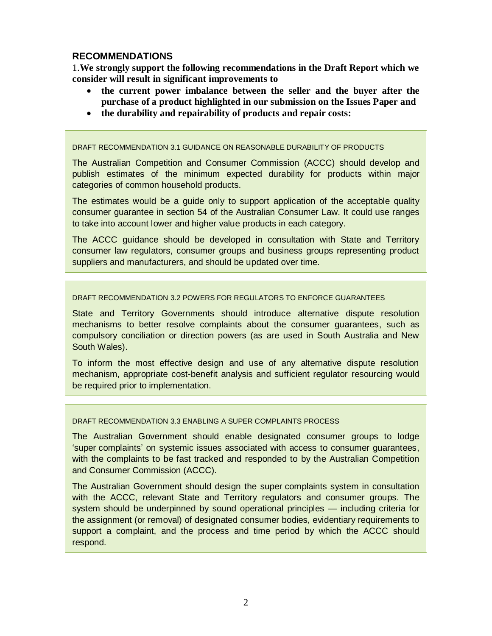### **RECOMMENDATIONS**

1.**We strongly support the following recommendations in the Draft Report which we consider will result in significant improvements to**

- **the current power imbalance between the seller and the buyer after the purchase of a product highlighted in our submission on the Issues Paper and**
- **the durability and repairability of products and repair costs:**

DRAFT RECOMMENDATION 3.1 GUIDANCE ON REASONABLE DURABILITY OF PRODUCTS

The Australian Competition and Consumer Commission (ACCC) should develop and publish estimates of the minimum expected durability for products within major categories of common household products.

The estimates would be a guide only to support application of the acceptable quality consumer guarantee in section 54 of the Australian Consumer Law. It could use ranges to take into account lower and higher value products in each category.

The ACCC guidance should be developed in consultation with State and Territory consumer law regulators, consumer groups and business groups representing product suppliers and manufacturers, and should be updated over time.

### DRAFT RECOMMENDATION 3.2 POWERS FOR REGULATORS TO ENFORCE GUARANTEES

State and Territory Governments should introduce alternative dispute resolution mechanisms to better resolve complaints about the consumer guarantees, such as compulsory conciliation or direction powers (as are used in South Australia and New South Wales).

To inform the most effective design and use of any alternative dispute resolution mechanism, appropriate cost-benefit analysis and sufficient regulator resourcing would be required prior to implementation.

### DRAFT RECOMMENDATION 3.3 ENABLING A SUPER COMPLAINTS PROCESS

The Australian Government should enable designated consumer groups to lodge 'super complaints' on systemic issues associated with access to consumer guarantees, with the complaints to be fast tracked and responded to by the Australian Competition and Consumer Commission (ACCC).

The Australian Government should design the super complaints system in consultation with the ACCC, relevant State and Territory regulators and consumer groups. The system should be underpinned by sound operational principles — including criteria for the assignment (or removal) of designated consumer bodies, evidentiary requirements to support a complaint, and the process and time period by which the ACCC should respond.